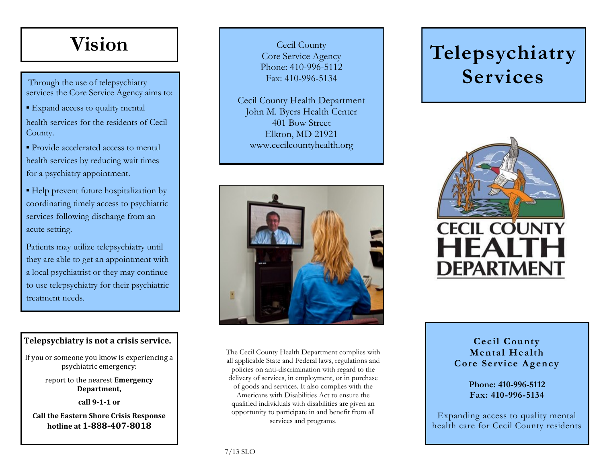## **Vision**

Through the use of telepsychiatry services the Core Service Agency aims to:

■ Expand access to quality mental health services for the residents of Cecil County.

• Provide accelerated access to mental health services by reducing wait times for a psychiatry appointment.

▪ Help prevent future hospitalization by coordinating timely access to psychiatric services following discharge from an acute setting.

Patients may utilize telepsychiatry until they are able to get an appointment with a local psychiatrist or they may continue to use telepsychiatry for their psychiatric treatment needs.

#### **Telepsychiatry is not a crisis service.**

If you or someone you know is experiencing a psychiatric emergency:

> report to the nearest **Emergency Department,**

> > **call 9-1-1 or**

**Call the Eastern Shore Crisis Response hotline at 1-888-407-8018**

Cecil County Core Service Agency Phone: 410-996-5112 Fax: 410-996-5134

Cecil County Health Department John M. Byers Health Center 401 Bow Street Elkton, MD 21921 www.cecilcountyhealth.org



The Cecil County Health Department complies with all applicable State and Federal laws, regulations and policies on anti-discrimination with regard to the delivery of services, in employment, or in purchase of goods and services. It also complies with the Americans with Disabilities Act to ensure the qualified individuals with disabilities are given an opportunity to participate in and benefit from all services and programs.

# **Telepsychiatry Services**



**Cecil County Mental Health Core Service Agency**

> **Phone: 410-996-5112 Fax: 410-996-5134**

Expanding access to quality mental health care for Cecil County residents